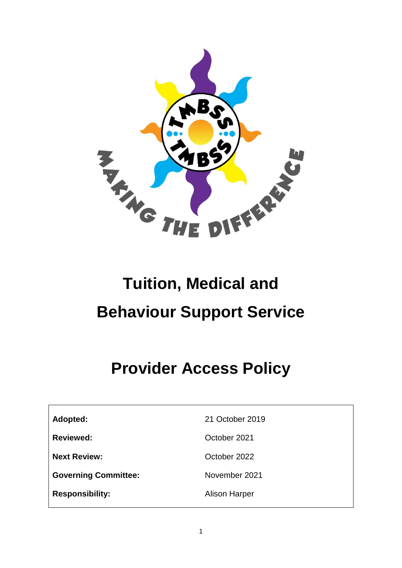

# **Tuition, Medical and Behaviour Support Service**

# **Provider Access Policy**

**Adopted:** 21 October 2019

**Reviewed:** Corollaction Corollaction Corollaction Corollaction Corollaction Corollaction Corollaction Corollaction Corollaction Corollaction Corollaction Corollaction Corollaction Corollaction Corollaction Corollaction Co

**Next Review: October 2022** 

Governing Committee: November 2021

**Responsibility:** Alison Harper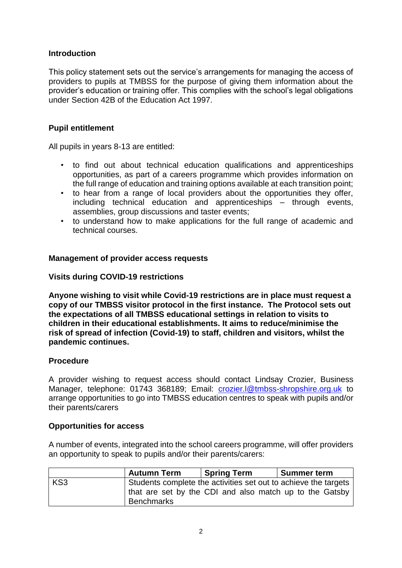## **Introduction**

This policy statement sets out the service's arrangements for managing the access of providers to pupils at TMBSS for the purpose of giving them information about the provider's education or training offer. This complies with the school's legal obligations under Section 42B of the Education Act 1997.

### **Pupil entitlement**

All pupils in years 8-13 are entitled:

- to find out about technical education qualifications and apprenticeships opportunities, as part of a careers programme which provides information on the full range of education and training options available at each transition point;
- to hear from a range of local providers about the opportunities they offer, including technical education and apprenticeships – through events, assemblies, group discussions and taster events;
- to understand how to make applications for the full range of academic and technical courses.

#### **Management of provider access requests**

#### **Visits during COVID-19 restrictions**

**Anyone wishing to visit while Covid-19 restrictions are in place must request a copy of our TMBSS visitor protocol in the first instance. The Protocol sets out the expectations of all TMBSS educational settings in relation to visits to children in their educational establishments. It aims to reduce/minimise the risk of spread of infection (Covid-19) to staff, children and visitors, whilst the pandemic continues.**

#### **Procedure**

A provider wishing to request access should contact Lindsay Crozier, Business Manager, telephone: 01743 368189; Email: [crozier.l@tmbss-shropshire.org.uk](mailto:crozier.l@tmbss-shropshire.org.uk) to arrange opportunities to go into TMBSS education centres to speak with pupils and/or their parents/carers

#### **Opportunities for access**

A number of events, integrated into the school careers programme, will offer providers an opportunity to speak to pupils and/or their parents/carers:

|                 | <b>Autumn Term</b> | Spring Term                                                     | <b>Summer term</b> |
|-----------------|--------------------|-----------------------------------------------------------------|--------------------|
| KS <sub>3</sub> |                    | Students complete the activities set out to achieve the targets |                    |
|                 |                    | that are set by the CDI and also match up to the Gatsby         |                    |
|                 | <b>Benchmarks</b>  |                                                                 |                    |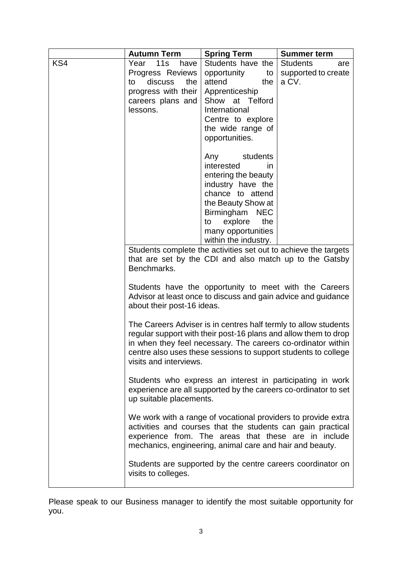|     | <b>Autumn Term</b>                                                                                                                                                                   | <b>Spring Term</b>                                              | <b>Summer term</b>     |
|-----|--------------------------------------------------------------------------------------------------------------------------------------------------------------------------------------|-----------------------------------------------------------------|------------------------|
| KS4 | Year 11s<br>have                                                                                                                                                                     | Students have the                                               | <b>Students</b><br>are |
|     | Progress Reviews                                                                                                                                                                     | opportunity<br>to                                               | supported to create    |
|     | discuss<br>the<br>to                                                                                                                                                                 | attend<br>the                                                   | a CV.                  |
|     | progress with their                                                                                                                                                                  | Apprenticeship                                                  |                        |
|     | careers plans and                                                                                                                                                                    | Show at Telford                                                 |                        |
|     | lessons.                                                                                                                                                                             | International                                                   |                        |
|     |                                                                                                                                                                                      | Centre to explore                                               |                        |
|     |                                                                                                                                                                                      | the wide range of                                               |                        |
|     |                                                                                                                                                                                      | opportunities.                                                  |                        |
|     |                                                                                                                                                                                      | Any students                                                    |                        |
|     |                                                                                                                                                                                      | interested<br>in.                                               |                        |
|     |                                                                                                                                                                                      | entering the beauty                                             |                        |
|     |                                                                                                                                                                                      | industry have the                                               |                        |
|     |                                                                                                                                                                                      | chance to attend                                                |                        |
|     |                                                                                                                                                                                      | the Beauty Show at                                              |                        |
|     |                                                                                                                                                                                      | Birmingham<br><b>NEC</b>                                        |                        |
|     |                                                                                                                                                                                      | to explore<br>the                                               |                        |
|     |                                                                                                                                                                                      | many opportunities<br>within the industry.                      |                        |
|     |                                                                                                                                                                                      | Students complete the activities set out to achieve the targets |                        |
|     |                                                                                                                                                                                      | that are set by the CDI and also match up to the Gatsby         |                        |
|     | Benchmarks.                                                                                                                                                                          |                                                                 |                        |
|     |                                                                                                                                                                                      |                                                                 |                        |
|     | Students have the opportunity to meet with the Careers                                                                                                                               |                                                                 |                        |
|     | Advisor at least once to discuss and gain advice and guidance                                                                                                                        |                                                                 |                        |
|     | about their post-16 ideas.                                                                                                                                                           |                                                                 |                        |
|     |                                                                                                                                                                                      |                                                                 |                        |
|     | The Careers Adviser is in centres half termly to allow students                                                                                                                      |                                                                 |                        |
|     | regular support with their post-16 plans and allow them to drop                                                                                                                      |                                                                 |                        |
|     | in when they feel necessary. The careers co-ordinator within                                                                                                                         |                                                                 |                        |
|     | centre also uses these sessions to support students to college                                                                                                                       |                                                                 |                        |
|     | visits and interviews.<br>Students who express an interest in participating in work<br>experience are all supported by the careers co-ordinator to set<br>up suitable placements.    |                                                                 |                        |
|     |                                                                                                                                                                                      |                                                                 |                        |
|     |                                                                                                                                                                                      |                                                                 |                        |
|     |                                                                                                                                                                                      |                                                                 |                        |
|     |                                                                                                                                                                                      |                                                                 |                        |
|     | We work with a range of vocational providers to provide extra<br>activities and courses that the students can gain practical<br>experience from. The areas that these are in include |                                                                 |                        |
|     |                                                                                                                                                                                      |                                                                 |                        |
|     | mechanics, engineering, animal care and hair and beauty.                                                                                                                             |                                                                 |                        |
|     |                                                                                                                                                                                      |                                                                 |                        |
|     | Students are supported by the centre careers coordinator on                                                                                                                          |                                                                 |                        |
|     | visits to colleges.                                                                                                                                                                  |                                                                 |                        |

Please speak to our Business manager to identify the most suitable opportunity for you.